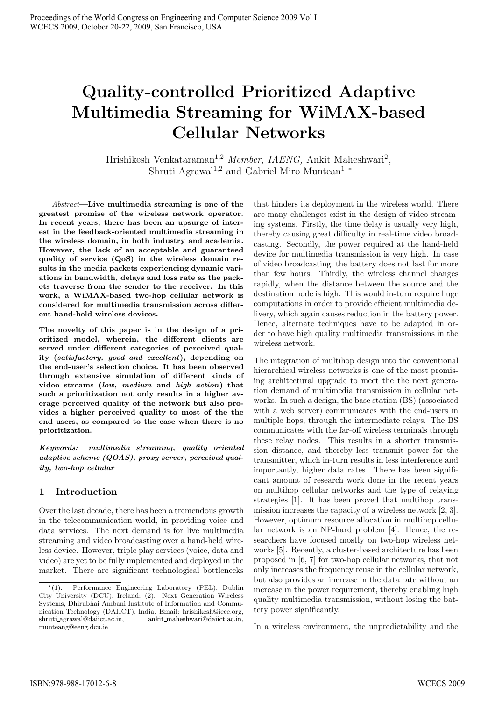# Quality-controlled Prioritized Adaptive Multimedia Streaming for WiMAX-based Cellular Networks

Hrishikesh Venkataraman<sup>1,2</sup> Member, IAENG, Ankit Maheshwari<sup>2</sup>, Shruti Agrawal<sup>1,2</sup> and Gabriel-Miro Muntean<sup>1</sup> <sup>\*</sup>

Abstract—Live multimedia streaming is one of the greatest promise of the wireless network operator. In recent years, there has been an upsurge of interest in the feedback-oriented multimedia streaming in the wireless domain, in both industry and academia. However, the lack of an acceptable and guaranteed quality of service (QoS) in the wireless domain results in the media packets experiencing dynamic variations in bandwidth, delays and loss rate as the packets traverse from the sender to the receiver. In this work, a WiMAX-based two-hop cellular network is considered for multimedia transmission across different hand-held wireless devices.

The novelty of this paper is in the design of a prioritized model, wherein, the different clients are served under different categories of perceived quality (satisfactory, good and excellent), depending on the end-user's selection choice. It has been observed through extensive simulation of different kinds of video streams (low, medium and high action) that such a prioritization not only results in a higher average perceived quality of the network but also provides a higher perceived quality to most of the the end users, as compared to the case when there is no prioritization.

Keywords: multimedia streaming, quality oriented adaptive scheme (QOAS), proxy server, perceived quality, two-hop cellular

## 1 Introduction

Over the last decade, there has been a tremendous growth in the telecommunication world, in providing voice and data services. The next demand is for live multimedia streaming and video broadcasting over a hand-held wireless device. However, triple play services (voice, data and video) are yet to be fully implemented and deployed in the market. There are significant technological bottlenecks that hinders its deployment in the wireless world. There are many challenges exist in the design of video streaming systems. Firstly, the time delay is usually very high, thereby causing great difficulty in real-time video broadcasting. Secondly, the power required at the hand-held device for multimedia transmission is very high. In case of video broadcasting, the battery does not last for more than few hours. Thirdly, the wireless channel changes rapidly, when the distance between the source and the destination node is high. This would in-turn require huge computations in order to provide efficient multimedia delivery, which again causes reduction in the battery power. Hence, alternate techniques have to be adapted in order to have high quality multimedia transmissions in the wireless network.

The integration of multihop design into the conventional hierarchical wireless networks is one of the most promising architectural upgrade to meet the the next generation demand of multimedia transmission in cellular networks. In such a design, the base station (BS) (associated with a web server) communicates with the end-users in multiple hops, through the intermediate relays. The BS communicates with the far-off wireless terminals through these relay nodes. This results in a shorter transmission distance, and thereby less transmit power for the transmitter, which in-turn results in less interference and importantly, higher data rates. There has been significant amount of research work done in the recent years on multihop cellular networks and the type of relaying strategies [1]. It has been proved that multihop transmission increases the capacity of a wireless network [2, 3]. However, optimum resource allocation in multihop cellular network is an NP-hard problem [4]. Hence, the researchers have focused mostly on two-hop wireless networks [5]. Recently, a cluster-based architecture has been proposed in [6, 7] for two-hop cellular networks, that not only increases the frequency reuse in the cellular network, but also provides an increase in the data rate without an increase in the power requirement, thereby enabling high quality multimedia transmission, without losing the battery power significantly.

In a wireless environment, the unpredictability and the

 $*(1).$ (1). Performance Engineering Laboratory (PEL), Dublin City University (DCU), Ireland; (2). Next Generation Wireless Systems, Dhirubhai Ambani Institute of Information and Communication Technology (DAIICT), India. Email: hrishikesh@ieee.org, shruti agrawal@daiict.ac.in, ankit maheshwari@daiict.ac.in, munteang@eeng.dcu.ie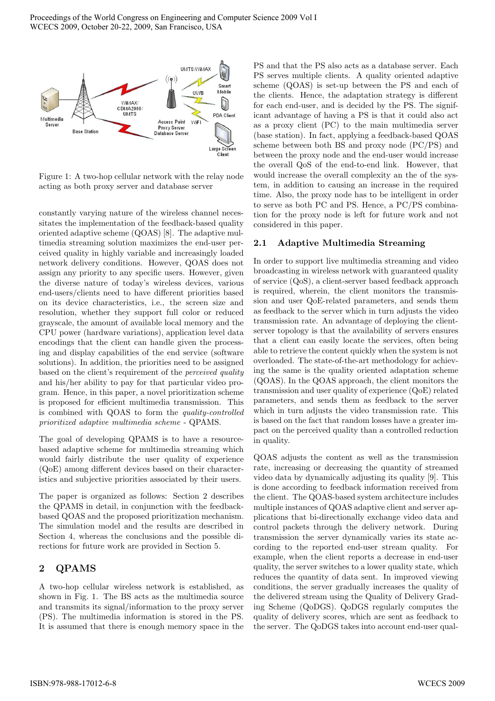

Figure 1: A two-hop cellular network with the relay node acting as both proxy server and database server

constantly varying nature of the wireless channel necessitates the implementation of the feedback-based quality oriented adaptive scheme (QOAS) [8]. The adaptive multimedia streaming solution maximizes the end-user perceived quality in highly variable and increasingly loaded network delivery conditions. However, QOAS does not assign any priority to any specific users. However, given the diverse nature of today's wireless devices, various end-users/clients need to have different priorities based on its device characteristics, i.e., the screen size and resolution, whether they support full color or reduced grayscale, the amount of available local memory and the CPU power (hardware variations), application level data encodings that the client can handle given the processing and display capabilities of the end service (software solutions). In addition, the priorities need to be assigned based on the client's requirement of the *perceived quality* and his/her ability to pay for that particular video program. Hence, in this paper, a novel prioritization scheme is proposed for efficient multimedia transmission. This is combined with QOAS to form the quality-controlled prioritized adaptive multimedia scheme - QPAMS.

The goal of developing QPAMS is to have a resourcebased adaptive scheme for multimedia streaming which would fairly distribute the user quality of experience (QoE) among different devices based on their characteristics and subjective priorities associated by their users.

The paper is organized as follows: Section 2 describes the QPAMS in detail, in conjunction with the feedbackbased QOAS and the proposed prioritization mechanism. The simulation model and the results are described in Section 4, whereas the conclusions and the possible directions for future work are provided in Section 5.

# 2 QPAMS

A two-hop cellular wireless network is established, as shown in Fig. 1. The BS acts as the multimedia source and transmits its signal/information to the proxy server (PS). The multimedia information is stored in the PS. It is assumed that there is enough memory space in the

PS and that the PS also acts as a database server. Each PS serves multiple clients. A quality oriented adaptive scheme (QOAS) is set-up between the PS and each of the clients. Hence, the adaptation strategy is different for each end-user, and is decided by the PS. The significant advantage of having a PS is that it could also act as a proxy client (PC) to the main multimedia server (base station). In fact, applying a feedback-based QOAS scheme between both BS and proxy node (PC/PS) and between the proxy node and the end-user would increase the overall QoS of the end-to-end link. However, that would increase the overall complexity an the of the system, in addition to causing an increase in the required time. Also, the proxy node has to be intelligent in order to serve as both PC and PS. Hence, a PC/PS combination for the proxy node is left for future work and not considered in this paper.

## 2.1 Adaptive Multimedia Streaming

In order to support live multimedia streaming and video broadcasting in wireless network with guaranteed quality of service (QoS), a client-server based feedback approach is required, wherein, the client monitors the transmission and user QoE-related parameters, and sends them as feedback to the server which in turn adjusts the video transmission rate. An advantage of deploying the clientserver topology is that the availability of servers ensures that a client can easily locate the services, often being able to retrieve the content quickly when the system is not overloaded. The state-of-the-art methodology for achieving the same is the quality oriented adaptation scheme (QOAS). In the QOAS approach, the client monitors the transmission and user quality of experience (QoE) related parameters, and sends them as feedback to the server which in turn adjusts the video transmission rate. This is based on the fact that random losses have a greater impact on the perceived quality than a controlled reduction in quality.

QOAS adjusts the content as well as the transmission rate, increasing or decreasing the quantity of streamed video data by dynamically adjusting its quality [9]. This is done according to feedback information received from the client. The QOAS-based system architecture includes multiple instances of QOAS adaptive client and server applications that bi-directionally exchange video data and control packets through the delivery network. During transmission the server dynamically varies its state according to the reported end-user stream quality. For example, when the client reports a decrease in end-user quality, the server switches to a lower quality state, which reduces the quantity of data sent. In improved viewing conditions, the server gradually increases the quality of the delivered stream using the Quality of Delivery Grading Scheme (QoDGS). QoDGS regularly computes the quality of delivery scores, which are sent as feedback to the server. The QoDGS takes into account end-user qual-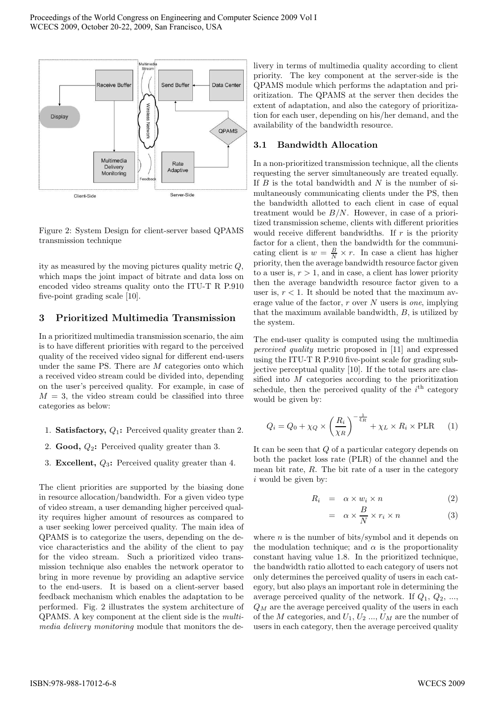

Figure 2: System Design for client-server based QPAMS transmission technique

ity as measured by the moving pictures quality metric Q, which maps the joint impact of bitrate and data loss on encoded video streams quality onto the ITU-T R P.910 five-point grading scale [10].

### 3 Prioritized Multimedia Transmission

In a prioritized multimedia transmission scenario, the aim is to have different priorities with regard to the perceived quality of the received video signal for different end-users under the same PS. There are M categories onto which a received video stream could be divided into, depending on the user's perceived quality. For example, in case of  $M = 3$ , the video stream could be classified into three categories as below:

- 1. **Satisfactory,**  $Q_1$ : Perceived quality greater than 2.
- 2. **Good,**  $Q_2$ : Perceived quality greater than 3.
- 3. Excellent,  $Q_3$ : Perceived quality greater than 4.

The client priorities are supported by the biasing done in resource allocation/bandwidth. For a given video type of video stream, a user demanding higher perceived quality requires higher amount of resources as compared to a user seeking lower perceived quality. The main idea of QPAMS is to categorize the users, depending on the device characteristics and the ability of the client to pay for the video stream. Such a prioritized video transmission technique also enables the network operator to bring in more revenue by providing an adaptive service to the end-users. It is based on a client-server based feedback mechanism which enables the adaptation to be performed. Fig. 2 illustrates the system architecture of QPAMS. A key component at the client side is the multimedia delivery monitoring module that monitors the de-

livery in terms of multimedia quality according to client priority. The key component at the server-side is the QPAMS module which performs the adaptation and prioritization. The QPAMS at the server then decides the extent of adaptation, and also the category of prioritization for each user, depending on his/her demand, and the availability of the bandwidth resource.

## 3.1 Bandwidth Allocation

In a non-prioritized transmission technique, all the clients requesting the server simultaneously are treated equally. If  $B$  is the total bandwidth and  $N$  is the number of simultaneously communicating clients under the PS, then the bandwidth allotted to each client in case of equal treatment would be  $B/N$ . However, in case of a prioritized transmission scheme, clients with different priorities would receive different bandwidths. If  $r$  is the priority factor for a client, then the bandwidth for the communicating client is  $w = \frac{B}{N} \times r$ . In case a client has higher priority, then the average bandwidth resource factor given to a user is,  $r > 1$ , and in case, a client has lower priority then the average bandwidth resource factor given to a user is,  $r < 1$ . It should be noted that the maximum average value of the factor,  $r$  over  $N$  users is one, implying that the maximum available bandwidth,  $B$ , is utilized by the system.

The end-user quality is computed using the multimedia perceived quality metric proposed in [11] and expressed using the ITU-T R P.910 five-point scale for grading subjective perceptual quality [10]. If the total users are classified into M categories according to the prioritization schedule, then the perceived quality of the  $i<sup>th</sup>$  category would be given by:

$$
Q_i = Q_0 + \chi_Q \times \left(\frac{R_i}{\chi_R}\right)^{-\frac{1}{\xi_R}} + \chi_L \times R_i \times \text{PLR} \tag{1}
$$

It can be seen that Q of a particular category depends on both the packet loss rate (PLR) of the channel and the mean bit rate,  $R$ . The bit rate of a user in the category  $i$  would be given by:

$$
R_i = \alpha \times w_i \times n \tag{2}
$$

$$
= \alpha \times \frac{B}{N} \times r_i \times n \tag{3}
$$

where  $n$  is the number of bits/symbol and it depends on the modulation technique; and  $\alpha$  is the proportionality constant having value 1.8. In the prioritized technique, the bandwidth ratio allotted to each category of users not only determines the perceived quality of users in each category, but also plays an important role in determining the average perceived quality of the network. If  $Q_1, Q_2, \ldots$ ,  $Q_M$  are the average perceived quality of the users in each of the M categories, and  $U_1, U_2, ..., U_M$  are the number of users in each category, then the average perceived quality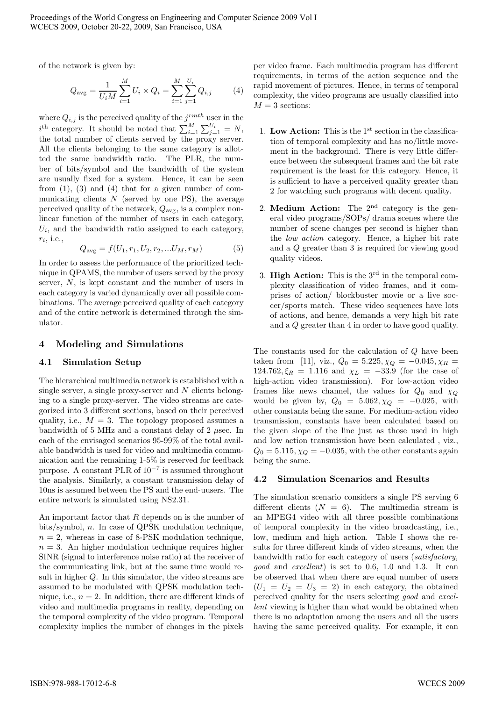of the network is given by:

$$
Q_{\text{avg}} = \frac{1}{U_i M} \sum_{i=1}^{M} U_i \times Q_i = \sum_{i=1}^{M} \sum_{j=1}^{U_i} Q_{i,j} \tag{4}
$$

where  $Q_{i,j}$  is the perceived quality of the  $j^{rmth}$  user in the  $i^{\text{th}}$  category. It should be noted that  $\sum_{i=1}^{M} \sum_{j=1}^{U_i} = N$ , the total number of clients served by the proxy server. All the clients belonging to the same category is allotted the same bandwidth ratio. The PLR, the number of bits/symbol and the bandwidth of the system are usually fixed for a system. Hence, it can be seen from  $(1)$ ,  $(3)$  and  $(4)$  that for a given number of communicating clients  $N$  (served by one PS), the average perceived quality of the network,  $Q_{\text{avg}}$ , is a complex nonlinear function of the number of users in each category,  $U_i$ , and the bandwidth ratio assigned to each category,  $r_i$ , i.e.,

$$
Q_{\text{avg}} = f(U_1, r_1, U_2, r_2, ... U_M, r_M)
$$
 (5)

In order to assess the performance of the prioritized technique in QPAMS, the number of users served by the proxy server, N, is kept constant and the number of users in each category is varied dynamically over all possible combinations. The average perceived quality of each category and of the entire network is determined through the simulator.

#### 4 Modeling and Simulations

#### 4.1 Simulation Setup

The hierarchical multimedia network is established with a single server, a single proxy-server and  $N$  clients belonging to a single proxy-server. The video streams are categorized into 3 different sections, based on their perceived quality, i.e.,  $M = 3$ . The topology proposed assumes a bandwidth of 5 MHz and a constant delay of 2  $\mu$ sec. In each of the envisaged scenarios 95-99% of the total available bandwidth is used for video and multimedia communication and the remaining 1-5% is reserved for feedback purpose. A constant PLR of  $10^{-7}$  is assumed throughout the analysis. Similarly, a constant transmission delay of 10ns is assumed between the PS and the end-uusers. The entire network is simulated using NS2.31.

An important factor that  $R$  depends on is the number of bits/symbol, n. In case of QPSK modulation technique,  $n = 2$ , whereas in case of 8-PSK modulation technique,  $n = 3$ . An higher modulation technique requires higher SINR (signal to interference noise ratio) at the receiver of the communicating link, but at the same time would result in higher Q. In this simulator, the video streams are assumed to be modulated with QPSK modulation technique, i.e.,  $n = 2$ . In addition, there are different kinds of video and multimedia programs in reality, depending on the temporal complexity of the video program. Temporal complexity implies the number of changes in the pixels

per video frame. Each multimedia program has different requirements, in terms of the action sequence and the rapid movement of pictures. Hence, in terms of temporal complexity, the video programs are usually classified into  $M = 3$  sections:

- 1. Low Action: This is the  $1<sup>st</sup>$  section in the classification of temporal complexity and has no/little movement in the background. There is very little difference between the subsequent frames and the bit rate requirement is the least for this category. Hence, it is sufficient to have a perceived quality greater than 2 for watching such programs with decent quality.
- 2. Medium Action: The  $2<sup>nd</sup>$  category is the general video programs/SOPs/ drama scenes where the number of scene changes per second is higher than the low action category. Hence, a higher bit rate and a Q greater than 3 is required for viewing good quality videos.
- 3. **High Action:** This is the  $3<sup>rd</sup>$  in the temporal complexity classification of video frames, and it comprises of action/ blockbuster movie or a live soccer/sports match. These video sequences have lots of actions, and hence, demands a very high bit rate and a Q greater than 4 in order to have good quality.

The constants used for the calculation of Q have been taken from [11], viz.,  $Q_0 = 5.225$ ,  $\chi_Q = -0.045$ ,  $\chi_R =$ 124.762,  $\xi_R = 1.116$  and  $\chi_L = -33.9$  (for the case of high-action video transmission). For low-action video frames like news channel, the values for  $Q_0$  and  $\chi_Q$ would be given by,  $Q_0 = 5.062$ ,  $\chi_Q = -0.025$ , with other constants being the same. For medium-action video transmission, constants have been calculated based on the given slope of the line just as those used in high and low action transmission have been calculated , viz.,  $Q_0 = 5.115$ ,  $\chi_Q = -0.035$ , with the other constants again being the same.

#### 4.2 Simulation Scenarios and Results

The simulation scenario considers a single PS serving 6 different clients  $(N = 6)$ . The multimedia stream is an MPEG4 video with all three possible combinations of temporal complexity in the video broadcasting, i.e., low, medium and high action. Table I shows the results for three different kinds of video streams, when the bandwidth ratio for each category of users (satisfactory, good and excellent) is set to 0.6, 1.0 and 1.3. It can be observed that when there are equal number of users  $(U_1 = U_2 = U_3 = 2)$  in each category, the obtained perceived quality for the users selecting good and excellent viewing is higher than what would be obtained when there is no adaptation among the users and all the users having the same perceived quality. For example, it can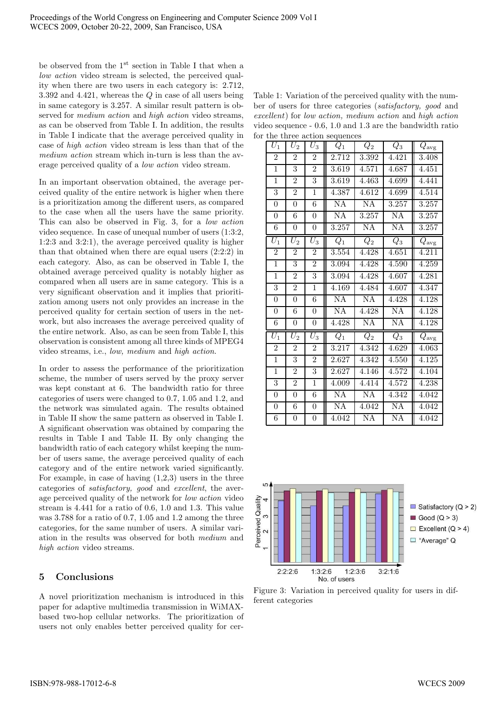be observed from the 1<sup>st</sup> section in Table I that when a low action video stream is selected, the perceived quality when there are two users in each category is: 2.712, 3.392 and 4.421, whereas the Q in case of all users being in same category is 3.257. A similar result pattern is observed for medium action and high action video streams, as can be observed from Table I. In addition, the results in Table I indicate that the average perceived quality in case of high action video stream is less than that of the medium action stream which in-turn is less than the average perceived quality of a low action video stream.

In an important observation obtained, the average perceived quality of the entire network is higher when there is a prioritization among the different users, as compared to the case when all the users have the same priority. This can also be observed in Fig. 3, for a low action video sequence. In case of unequal number of users (1:3:2, 1:2:3 and 3:2:1), the average perceived quality is higher than that obtained when there are equal users (2:2:2) in each category. Also, as can be observed in Table I, the obtained average perceived quality is notably higher as compared when all users are in same category. This is a very significant observation and it implies that prioritization among users not only provides an increase in the perceived quality for certain section of users in the network, but also increases the average perceived quality of the entire network. Also, as can be seen from Table I, this observation is consistent among all three kinds of MPEG4 video streams, i.e., low, medium and high action.

In order to assess the performance of the prioritization scheme, the number of users served by the proxy server was kept constant at 6. The bandwidth ratio for three categories of users were changed to 0.7, 1.05 and 1.2, and the network was simulated again. The results obtained in Table II show the same pattern as observed in Table I. A significant observation was obtained by comparing the results in Table I and Table II. By only changing the bandwidth ratio of each category whilst keeping the number of users same, the average perceived quality of each category and of the entire network varied significantly. For example, in case of having  $(1,2,3)$  users in the three categories of satisfactory, good and excellent, the average perceived quality of the network for low action video stream is 4.441 for a ratio of 0.6, 1.0 and 1.3. This value was 3.788 for a ratio of 0.7, 1.05 and 1.2 among the three categories, for the same number of users. A similar variation in the results was observed for both medium and high *action* video streams.

# 5 Conclusions

A novel prioritization mechanism is introduced in this paper for adaptive multimedia transmission in WiMAXbased two-hop cellular networks. The prioritization of users not only enables better perceived quality for cer-

Table 1: Variation of the perceived quality with the number of users for three categories (satisfactory, good and excellent) for low action, medium action and high action video sequence - 0.6, 1.0 and 1.3 are the bandwidth ratio for the three action sequences

| $U_1$            | $\scriptstyle U_2$ | $U_{3}$          | $Q_1$            | $\,Q_2$             | $Q_3$                  | $Q_{\rm avg}$      |
|------------------|--------------------|------------------|------------------|---------------------|------------------------|--------------------|
| $\overline{2}$   | $\overline{2}$     | $\overline{2}$   | 2.712            | 3.392               | 4.421                  | $\overline{3.408}$ |
| $\mathbf{1}$     | $\overline{3}$     | $\overline{2}$   | 3.619            | 4.571               | 4.687                  | 4.451              |
| $\mathbf{1}$     | $\overline{2}$     | $\overline{3}$   | 3.619            | 4.463               | 4.699                  | 4.441              |
| $\overline{3}$   | $\overline{2}$     | $\overline{1}$   | 4.387            | 4.612               | 4.699                  | 4.514              |
| $\overline{0}$   | $\overline{0}$     | $\overline{6}$   | NA               | NA                  | 3.257                  | 3.257              |
| $\overline{0}$   | $\overline{6}$     | $\overline{0}$   | $\overline{NA}$  | 3.257               | $\overline{NA}$        | $\overline{3.257}$ |
| 6                | $\boldsymbol{0}$   | $\boldsymbol{0}$ | 3.257            | NA                  | NA                     | 3.257              |
| $U_1$            | $U_2$              | $\overline{U}_3$ | $\overline{Q_1}$ | $\overline{Q_2}$    | $\overline{Q_3}$       | $Q_{\mathrm{avg}}$ |
| $\overline{2}$   | $\overline{2}$     | $\overline{2}$   | 3.554            | 4.428               | 4.651                  | 4.211              |
| $\mathbf{1}$     | $\overline{3}$     | $\,2$            | 3.094            | 4.428               | 4.590                  | 4.259              |
| $\overline{1}$   | $\overline{2}$     | $\overline{3}$   | 3.094            | 4.428               | 4.607                  | 4.281              |
| $\overline{3}$   | $\overline{2}$     | $\overline{1}$   | 4.169            | 4.484               | 4.607                  | 4.347              |
| $\overline{0}$   | $\overline{0}$     | $\overline{6}$   | NA               | NA                  | 4.428                  | 4.128              |
| $\overline{0}$   | $\overline{6}$     | $\boldsymbol{0}$ | NA               | 4.428               | $\overline{\rm NA}$    | 4.128              |
| 6                | $\overline{0}$     | $\overline{0}$   | 4.428            | NA                  | NA                     | 4.128              |
| $\overline{U_1}$ | $U_2$              | $U_3$            | $Q_1$            | $Q_2$               | $Q_3$                  | $Q_{\rm avg}$      |
| $\overline{2}$   | $\overline{2}$     | $\overline{2}$   | 3.217            | 4.342               | $\overline{4.629}$     | $\overline{4.063}$ |
| $\overline{1}$   | $\overline{3}$     | $\overline{2}$   | 2.627            | 4.342               | 4.550                  | 4.125              |
| $\overline{1}$   | $\overline{2}$     | $\overline{3}$   | 2.627            | 4.146               | 4.572                  | $\overline{4.104}$ |
| $\overline{3}$   | $\overline{2}$     | $\overline{1}$   | 4.009            | 4.414               | 4.572                  | 4.238              |
| $\overline{0}$   | $\overline{0}$     | $\overline{6}$   | NA               | NA                  | 4.342                  | 4.042              |
| $\overline{0}$   | 6                  | $\overline{0}$   | $\overline{NA}$  | 4.042               | NA                     | 4.042              |
| $\overline{6}$   | $\boldsymbol{0}$   | 0                | 4.042            | $\overline{\rm NA}$ | $\overline{\text{NA}}$ | 4.042              |



Figure 3: Variation in perceived quality for users in different categories